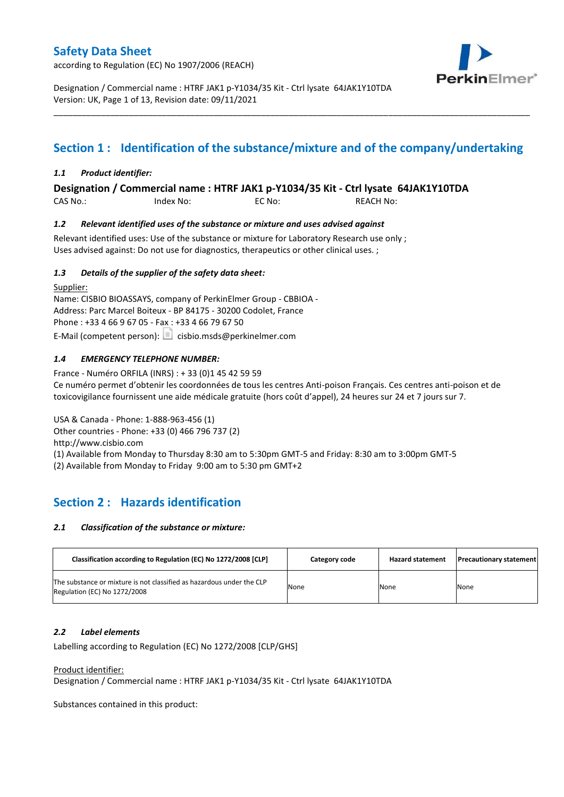according to Regulation (EC) No 1907/2006 (REACH)



Designation / Commercial name : HTRF JAK1 p-Y1034/35 Kit - Ctrl lysate 64JAK1Y10TDA Version: UK, Page 1 of 13, Revision date: 09/11/2021

## **Section 1 : Identification of the substance/mixture and of the company/undertaking**

\_\_\_\_\_\_\_\_\_\_\_\_\_\_\_\_\_\_\_\_\_\_\_\_\_\_\_\_\_\_\_\_\_\_\_\_\_\_\_\_\_\_\_\_\_\_\_\_\_\_\_\_\_\_\_\_\_\_\_\_\_\_\_\_\_\_\_\_\_\_\_\_\_\_\_\_\_\_\_\_\_\_\_\_\_\_\_\_\_\_\_\_\_\_\_\_\_\_\_\_\_

### *1.1 Product identifier:*

**Designation / Commercial name : HTRF JAK1 p-Y1034/35 Kit - Ctrl lysate 64JAK1Y10TDA** 

CAS No.: Index No: EC No: REACH No:

### *1.2 Relevant identified uses of the substance or mixture and uses advised against*

Relevant identified uses: Use of the substance or mixture for Laboratory Research use only ; Uses advised against: Do not use for diagnostics, therapeutics or other clinical uses. ;

### *1.3 Details of the supplier of the safety data sheet:*

Supplier: Name: CISBIO BIOASSAYS, company of PerkinElmer Group - CBBIOA - Address: Parc Marcel Boiteux - BP 84175 - 30200 Codolet, France Phone : +33 4 66 9 67 05 - Fax : +33 4 66 79 67 50 E-Mail (competent person):  $\Box$  cisbio.msds@perkinelmer.com

### *1.4 EMERGENCY TELEPHONE NUMBER:*

France - Numéro ORFILA (INRS) : + 33 (0)1 45 42 59 59 Ce numéro permet d'obtenir les coordonnées de tous les centres Anti-poison Français. Ces centres anti-poison et de toxicovigilance fournissent une aide médicale gratuite (hors coût d'appel), 24 heures sur 24 et 7 jours sur 7.

USA & Canada - Phone: 1-888-963-456 (1)

Other countries - Phone: +33 (0) 466 796 737 (2)

http://www.cisbio.com

(1) Available from Monday to Thursday 8:30 am to 5:30pm GMT-5 and Friday: 8:30 am to 3:00pm GMT-5

(2) Available from Monday to Friday 9:00 am to 5:30 pm GMT+2

## **Section 2 : Hazards identification**

#### *2.1 Classification of the substance or mixture:*

| Classification according to Regulation (EC) No 1272/2008 [CLP]                                        | Category code | <b>Hazard statement</b> | <b>Precautionary statement</b> |
|-------------------------------------------------------------------------------------------------------|---------------|-------------------------|--------------------------------|
| The substance or mixture is not classified as hazardous under the CLP<br>Regulation (EC) No 1272/2008 | None          | None                    | None                           |

#### *2.2 Label elements*

Labelling according to Regulation (EC) No 1272/2008 [CLP/GHS]

#### Product identifier:

Designation / Commercial name : HTRF JAK1 p-Y1034/35 Kit - Ctrl lysate 64JAK1Y10TDA

Substances contained in this product: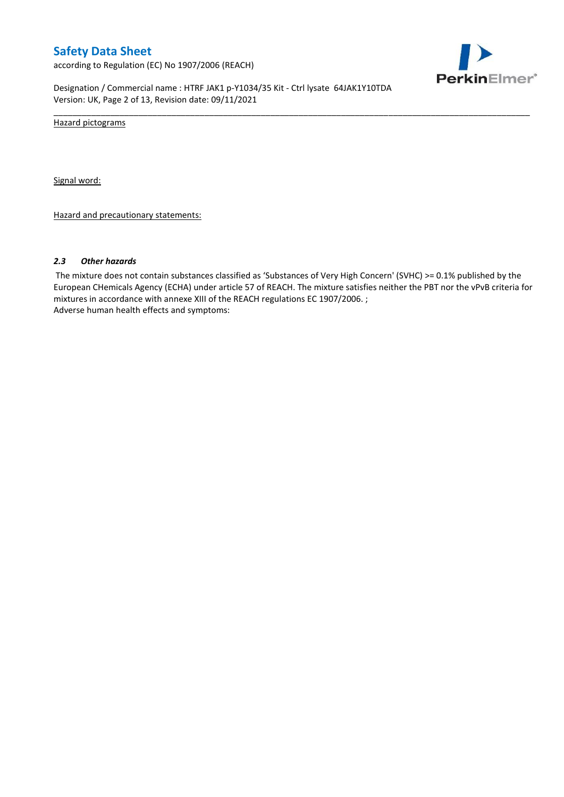according to Regulation (EC) No 1907/2006 (REACH)



Designation / Commercial name : HTRF JAK1 p-Y1034/35 Kit - Ctrl lysate 64JAK1Y10TDA Version: UK, Page 2 of 13, Revision date: 09/11/2021

Hazard pictograms

Signal word:

Hazard and precautionary statements:

#### *2.3 Other hazards*

The mixture does not contain substances classified as 'Substances of Very High Concern' (SVHC) >= 0.1% published by the European CHemicals Agency (ECHA) under article 57 of REACH. The mixture satisfies neither the PBT nor the vPvB criteria for mixtures in accordance with annexe XIII of the REACH regulations EC 1907/2006. ; Adverse human health effects and symptoms:

\_\_\_\_\_\_\_\_\_\_\_\_\_\_\_\_\_\_\_\_\_\_\_\_\_\_\_\_\_\_\_\_\_\_\_\_\_\_\_\_\_\_\_\_\_\_\_\_\_\_\_\_\_\_\_\_\_\_\_\_\_\_\_\_\_\_\_\_\_\_\_\_\_\_\_\_\_\_\_\_\_\_\_\_\_\_\_\_\_\_\_\_\_\_\_\_\_\_\_\_\_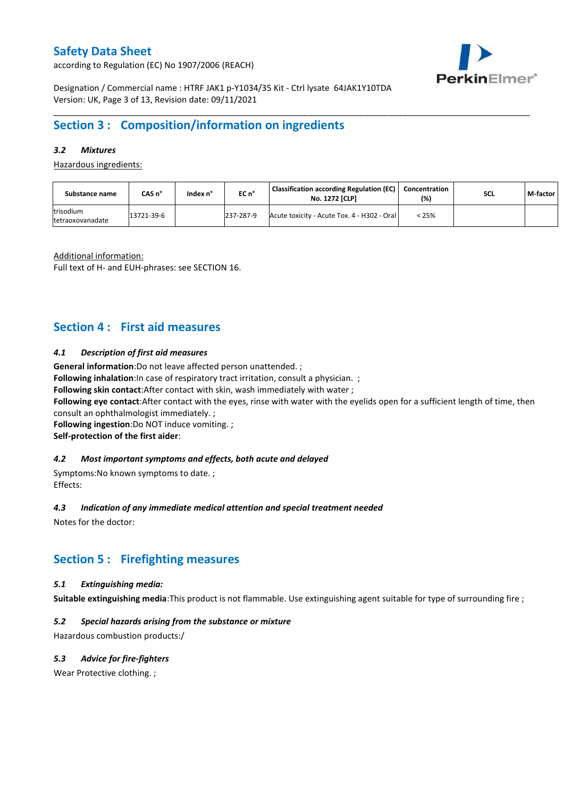according to Regulation (EC) No 1907/2006 (REACH)



Designation / Commercial name : HTRF JAK1 p-Y1034/35 Kit - Ctrl lysate 64JAK1Y10TDA Version: UK, Page 3 of 13, Revision date: 09/11/2021

## **Section 3 : Composition/information on ingredients**

### *3.2 Mixtures*

Hazardous ingredients:

| Substance name                | CAS n°     | Index n° | EC n°     | <b>Classification according Regulation (EC)</b><br><b>No. 1272 [CLP]</b> | l Concentration<br>(%) | <b>SCL</b> | M-factor |
|-------------------------------|------------|----------|-----------|--------------------------------------------------------------------------|------------------------|------------|----------|
| trisodium<br>tetraoxovanadate | 13721-39-6 |          | 237-287-9 | Acute toxicity - Acute Tox. 4 - H302 - Oral                              | < 25%                  |            |          |

\_\_\_\_\_\_\_\_\_\_\_\_\_\_\_\_\_\_\_\_\_\_\_\_\_\_\_\_\_\_\_\_\_\_\_\_\_\_\_\_\_\_\_\_\_\_\_\_\_\_\_\_\_\_\_\_\_\_\_\_\_\_\_\_\_\_\_\_\_\_\_\_\_\_\_\_\_\_\_\_\_\_\_\_\_\_\_\_\_\_\_\_\_\_\_\_\_\_\_\_\_

Additional information:

Full text of H- and EUH-phrases: see SECTION 16.

## **Section 4 : First aid measures**

### *4.1 Description of first aid measures*

**General information**:Do not leave affected person unattended. ;

**Following inhalation:**In case of respiratory tract irritation, consult a physician. ;

**Following skin contact**:After contact with skin, wash immediately with water ;

**Following eye contact**:After contact with the eyes, rinse with water with the eyelids open for a sufficient length of time, then consult an ophthalmologist immediately. ;

**Following ingestion**:Do NOT induce vomiting. ;

**Self-protection of the first aider**:

#### *4.2 Most important symptoms and effects, both acute and delayed*

Symptoms:No known symptoms to date. ; Effects:

#### *4.3 Indication of any immediate medical attention and special treatment needed*

Notes for the doctor:

## **Section 5 : Firefighting measures**

### *5.1 Extinguishing media:*

**Suitable extinguishing media**:This product is not flammable. Use extinguishing agent suitable for type of surrounding fire ;

#### *5.2 Special hazards arising from the substance or mixture*

Hazardous combustion products:/

#### *5.3 Advice for fire-fighters*

Wear Protective clothing.;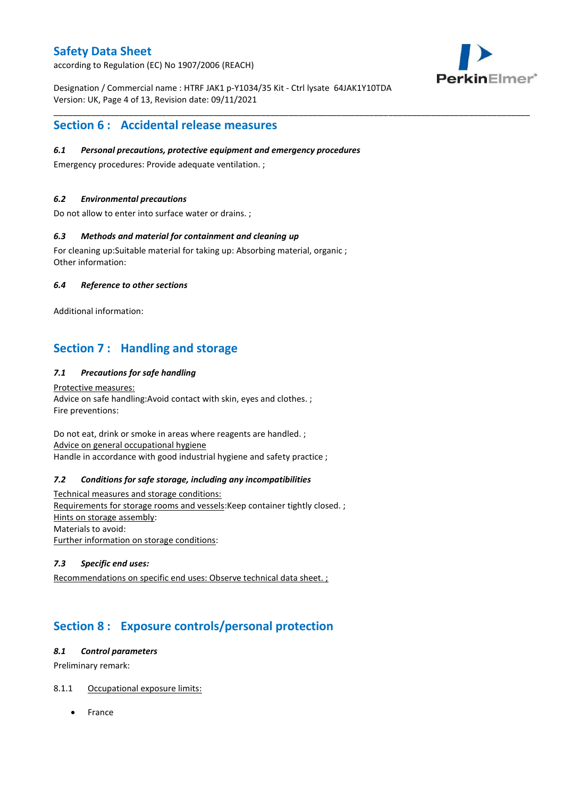according to Regulation (EC) No 1907/2006 (REACH)



Designation / Commercial name : HTRF JAK1 p-Y1034/35 Kit - Ctrl lysate 64JAK1Y10TDA Version: UK, Page 4 of 13, Revision date: 09/11/2021

\_\_\_\_\_\_\_\_\_\_\_\_\_\_\_\_\_\_\_\_\_\_\_\_\_\_\_\_\_\_\_\_\_\_\_\_\_\_\_\_\_\_\_\_\_\_\_\_\_\_\_\_\_\_\_\_\_\_\_\_\_\_\_\_\_\_\_\_\_\_\_\_\_\_\_\_\_\_\_\_\_\_\_\_\_\_\_\_\_\_\_\_\_\_\_\_\_\_\_\_\_

## **Section 6 : Accidental release measures**

### *6.1 Personal precautions, protective equipment and emergency procedures*

Emergency procedures: Provide adequate ventilation. ;

### *6.2 Environmental precautions*

Do not allow to enter into surface water or drains. ;

### *6.3 Methods and material for containment and cleaning up*

For cleaning up:Suitable material for taking up: Absorbing material, organic ; Other information:

### *6.4 Reference to other sections*

Additional information:

## **Section 7 : Handling and storage**

### *7.1 Precautions for safe handling*

Protective measures: Advice on safe handling:Avoid contact with skin, eyes and clothes. ; Fire preventions:

Do not eat, drink or smoke in areas where reagents are handled. ; Advice on general occupational hygiene Handle in accordance with good industrial hygiene and safety practice ;

#### *7.2 Conditions for safe storage, including any incompatibilities*

Technical measures and storage conditions: Requirements for storage rooms and vessels:Keep container tightly closed. ; Hints on storage assembly: Materials to avoid: Further information on storage conditions:

### *7.3 Specific end uses:*

Recommendations on specific end uses: Observe technical data sheet. ;

## **Section 8 : Exposure controls/personal protection**

### *8.1 Control parameters*

Preliminary remark:

### 8.1.1 Occupational exposure limits:

France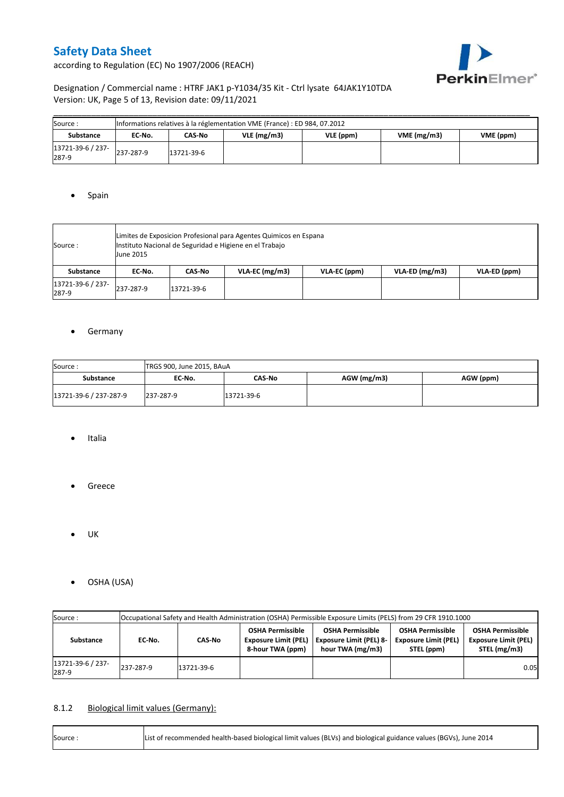according to Regulation (EC) No 1907/2006 (REACH)



## Designation / Commercial name : HTRF JAK1 p-Y1034/35 Kit - Ctrl lysate 64JAK1Y10TDA Version: UK, Page 5 of 13, Revision date: 09/11/2021

| Source:                    | Informations relatives à la réglementation VME (France) : ED 984, 07.2012 |            |               |           |                         |  |  |  |  |  |  |
|----------------------------|---------------------------------------------------------------------------|------------|---------------|-----------|-------------------------|--|--|--|--|--|--|
| Substance                  | EC No.                                                                    | CAS-No     | $VLE$ (mg/m3) | VLE (ppm) | VME(mg/m3)<br>VME (ppm) |  |  |  |  |  |  |
| 13721-39-6 / 237-<br>287-9 | 237-287-9                                                                 | 13721-39-6 |               |           |                         |  |  |  |  |  |  |

### • Spain

| Source :                   | <b>June 2015</b> | Limites de Exposicion Profesional para Agentes Quimicos en Espana<br>Instituto Nacional de Seguridad e Higiene en el Trabajo |                  |              |                |              |  |  |  |  |  |
|----------------------------|------------------|------------------------------------------------------------------------------------------------------------------------------|------------------|--------------|----------------|--------------|--|--|--|--|--|
| Substance                  | EC No.           | CAS No                                                                                                                       | $VLA-EC$ (mg/m3) | VLA-EC (ppm) | VLA-ED (mg/m3) | VLA-ED (ppm) |  |  |  |  |  |
| 13721-39-6 / 237-<br>287-9 | 237-287-9        | 13721-39-6                                                                                                                   |                  |              |                |              |  |  |  |  |  |

### **•** Germany

| Source:                | TRGS 900, June 2015, BAuA |            |             |           |  |  |  |  |  |  |
|------------------------|---------------------------|------------|-------------|-----------|--|--|--|--|--|--|
| <b>Substance</b>       | EC No.                    | CAS-No     | AGW (mg/m3) | AGW (ppm) |  |  |  |  |  |  |
| 13721-39-6 / 237-287-9 | 237-287-9                 | 13721-39-6 |             |           |  |  |  |  |  |  |

- Italia
- **•** Greece
- $\bullet$  UK
- OSHA (USA)

| Source:                    | Occupational Safety and Health Administration (OSHA) Permissible Exposure Limits (PELS) from 29 CFR 1910.1000 |            |                                                                            |                                                                               |                                                                                                                                                |      |  |  |  |  |
|----------------------------|---------------------------------------------------------------------------------------------------------------|------------|----------------------------------------------------------------------------|-------------------------------------------------------------------------------|------------------------------------------------------------------------------------------------------------------------------------------------|------|--|--|--|--|
| Substance                  | CAS-No<br>EC-No.                                                                                              |            | <b>OSHA Permissible</b><br><b>Exposure Limit (PEL)</b><br>8-hour TWA (ppm) | <b>OSHA Permissible</b><br><b>Exposure Limit (PEL) 8-</b><br>hour TWA (mg/m3) | <b>OSHA Permissible</b><br><b>OSHA Permissible</b><br><b>Exposure Limit (PEL)</b><br><b>Exposure Limit (PEL)</b><br>STEL (mg/m3)<br>STEL (ppm) |      |  |  |  |  |
| 13721-39-6 / 237-<br>287-9 | 237-287-9                                                                                                     | 13721-39-6 |                                                                            |                                                                               |                                                                                                                                                | 0.05 |  |  |  |  |

## 8.1.2 Biological limit values (Germany):

| Source: | List of recommended health-based biological limit values (BLVs) and biological guidance values (BGVs), June 2014 |
|---------|------------------------------------------------------------------------------------------------------------------|
|---------|------------------------------------------------------------------------------------------------------------------|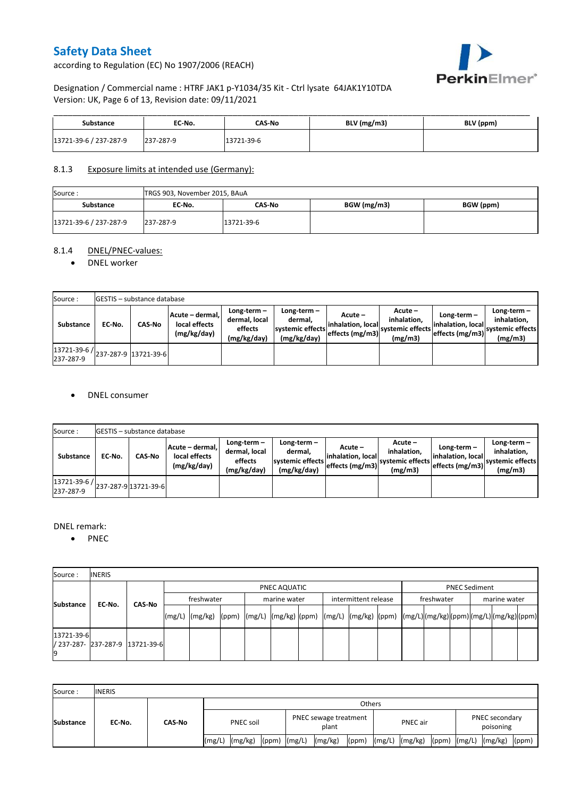according to Regulation (EC) No 1907/2006 (REACH)



## Designation / Commercial name : HTRF JAK1 p-Y1034/35 Kit - Ctrl lysate 64JAK1Y10TDA Version: UK, Page 6 of 13, Revision date: 09/11/2021

| Substance              | EC No.    | CAS-No     | BLV (mg/m3) | BLV (ppm) |
|------------------------|-----------|------------|-------------|-----------|
| 13721-39-6 / 237-287-9 | 237-287-9 | 13721-39-6 |             |           |

### 8.1.3 Exposure limits at intended use (Germany):

| Source:                | TRGS 903, November 2015, BAuA |            |             |           |  |  |  |  |  |  |
|------------------------|-------------------------------|------------|-------------|-----------|--|--|--|--|--|--|
| <b>Substance</b>       | EC No.                        | CAS-No     | BGW (mg/m3) | BGW (ppm) |  |  |  |  |  |  |
| 13721-39-6 / 237-287-9 | 237-287-9                     | 13721-39-6 |             |           |  |  |  |  |  |  |

## 8.1.4 DNEL/PNEC-values:

#### • DNEL worker

| Source:                                          |        | <b>IGESTIS - substance database</b> |                                                 |                                                       |                                                                                                      |  |                                                         |                                                       |                                                          |  |  |  |  |  |
|--------------------------------------------------|--------|-------------------------------------|-------------------------------------------------|-------------------------------------------------------|------------------------------------------------------------------------------------------------------|--|---------------------------------------------------------|-------------------------------------------------------|----------------------------------------------------------|--|--|--|--|--|
| Substance                                        | EC-No. | <b>CAS-No</b>                       | Acute - dermal,<br>local effects<br>(mg/kg/day) | Long-term-<br>dermal, local<br>effects<br>(mg/kg/day) | Long-term $-$<br>dermal,<br>linhalation. local<br>systemic effects<br>effects (mg/m3)<br>(mg/kg/day) |  | $Acute -$<br>inhalation.<br>systemic effects<br>(mg/m3) | Long-term $-$<br>inhalation. local<br>effects (mg/m3) | Long-term-<br>inhalation.<br>systemic effects<br>(mg/m3) |  |  |  |  |  |
| 13721-39-6 / 237-287-9 13721-39-6  <br>237-287-9 |        |                                     |                                                 |                                                       |                                                                                                      |  |                                                         |                                                       |                                                          |  |  |  |  |  |

### DNEL consumer

| Source:                   |        | <b>IGESTIS - substance database</b> |                                                 |                                                          |                                                          |                                                  |                                                       |                                                      |                                                             |  |  |  |  |
|---------------------------|--------|-------------------------------------|-------------------------------------------------|----------------------------------------------------------|----------------------------------------------------------|--------------------------------------------------|-------------------------------------------------------|------------------------------------------------------|-------------------------------------------------------------|--|--|--|--|
| <b>Substance</b>          | EC No. | CAS-No                              | Acute - dermal,<br>local effects<br>(mg/kg/day) | Long-term $-$<br>dermal, local<br>effects<br>(mg/kg/day) | Long-term-<br>dermal.<br>systemic effects<br>(mg/kg/day) | Acute –<br>linhalation. local<br>effects (mg/m3) | Acute -<br>inhalation.<br>systemic effects<br>(mg/m3) | Long-term -<br>linhalation. local<br>effects (mg/m3) | $Long-term -$<br>inhalation.<br>systemic effects<br>(mg/m3) |  |  |  |  |
| 13721-39-6 /<br>237-287-9 |        | 237-287-9 13721-39-6                |                                                 |                                                          |                                                          |                                                  |                                                       |                                                      |                                                             |  |  |  |  |

#### DNEL remark:

• PNEC

| Source:          | <b>INERIS</b> |                                 |            |                                                                                                                                                                                                                                                                                                                                                                                                                                                                                  |  |  |              |  |                      |  |            |  |                      |  |  |  |  |
|------------------|---------------|---------------------------------|------------|----------------------------------------------------------------------------------------------------------------------------------------------------------------------------------------------------------------------------------------------------------------------------------------------------------------------------------------------------------------------------------------------------------------------------------------------------------------------------------|--|--|--------------|--|----------------------|--|------------|--|----------------------|--|--|--|--|
|                  |               | CAS-No                          |            | PNEC AQUATIC                                                                                                                                                                                                                                                                                                                                                                                                                                                                     |  |  |              |  |                      |  |            |  | <b>PNEC Sediment</b> |  |  |  |  |
| <b>Substance</b> |               |                                 | freshwater |                                                                                                                                                                                                                                                                                                                                                                                                                                                                                  |  |  | marine water |  | intermittent release |  | freshwater |  | marine water         |  |  |  |  |
|                  | EC-No.        |                                 | (mg/L)     | $\lvert (mg/kg) \rvert \lvert (ppm) \rvert \lvert (mg/L) \rvert \lvert (mg/kg) \rvert \lvert (mg/L) \rvert \lvert (mg/k) \rvert \lvert (mg/k) \rvert \lvert (mg/kg) \rvert \lvert (ppm) \rvert \lvert (mg/k) \rvert \lvert (pg/k) \rvert \lvert (pg/k) \rvert \lvert (mg/k) \rvert \lvert (gg/k) \rvert \lvert (gg/k) \rvert \lvert (gg/k) \rvert \lvert (gg/k) \rvert \lvert (gg/k) \rvert \lvert (gg/k) \rvert \lvert (gg/k) \rvert \lvert (gg/k) \rvert \lvert (gg/k) \rvert$ |  |  |              |  |                      |  |            |  |                      |  |  |  |  |
| 13721-39-6       |               | / 237-287- 237-287-9 13721-39-6 |            |                                                                                                                                                                                                                                                                                                                                                                                                                                                                                  |  |  |              |  |                      |  |            |  |                      |  |  |  |  |

| Source:          | <b>INERIS</b> |        |           |         |                  |                                |         |       |                                                |                |  |  |                          |       |
|------------------|---------------|--------|-----------|---------|------------------|--------------------------------|---------|-------|------------------------------------------------|----------------|--|--|--------------------------|-------|
|                  |               |        |           | Others  |                  |                                |         |       |                                                |                |  |  |                          |       |
| <b>Substance</b> | EC No.        | CAS-No | PNEC soil |         |                  | PNEC sewage treatment<br>plant |         |       | <b>PNEC secondary</b><br>PNEC air<br>poisoning |                |  |  |                          |       |
|                  |               |        | (mg/L)    | (mg/kg) | $(ppm)$ $(mg/L)$ |                                | (mg/kg) | (ppm) |                                                | (mg/L) (mg/kg) |  |  | (ppm) $(mg/L)$ $(mg/kg)$ | (ppm) |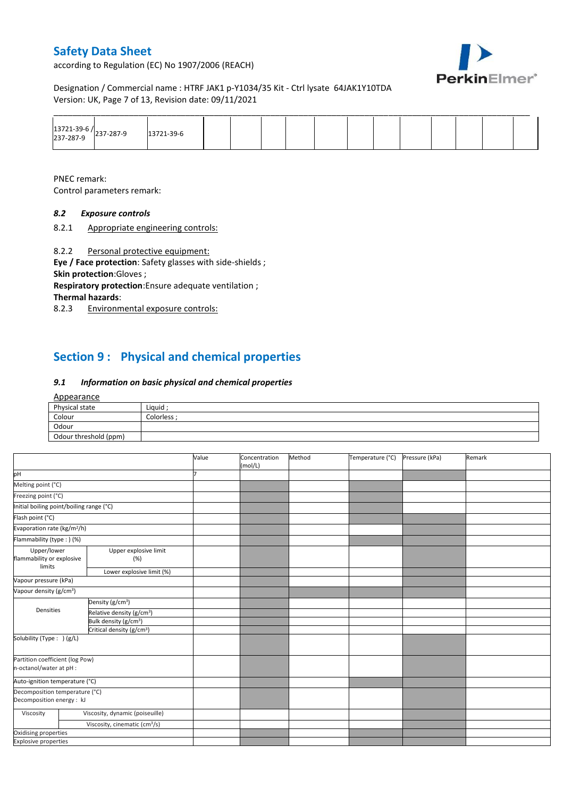according to Regulation (EC) No 1907/2006 (REACH)



Designation / Commercial name : HTRF JAK1 p-Y1034/35 Kit - Ctrl lysate 64JAK1Y10TDA Version: UK, Page 7 of 13, Revision date: 09/11/2021

|                                     |                  |  |  |  | ______ |  | _______ |  |
|-------------------------------------|------------------|--|--|--|--------|--|---------|--|
| 13721-39-6 /<br>237-287-9 237-287-9 | $12721 - 39 - 6$ |  |  |  |        |  |         |  |

PNEC remark: Control parameters remark:

## *8.2 Exposure controls*

8.2.1 Appropriate engineering controls:

8.2.2 Personal protective equipment:

**Eye / Face protection**: Safety glasses with side-shields ; **Skin protection**:Gloves ;

**Respiratory protection**:Ensure adequate ventilation ; **Thermal hazards**:

8.2.3 Environmental exposure controls:

## **Section 9 : Physical and chemical properties**

### *9.1 Information on basic physical and chemical properties*

#### Appearance

| Physical state        | Liquid    |
|-----------------------|-----------|
| Colour                | Colorless |
| Odour                 |           |
| Odour threshold (ppm) |           |

|                                                             |                                           | Value | Concentration<br>(mol/L) | Method | Temperature (°C) | Pressure (kPa) | Remark |
|-------------------------------------------------------------|-------------------------------------------|-------|--------------------------|--------|------------------|----------------|--------|
| pH                                                          |                                           |       |                          |        |                  |                |        |
| Melting point (°C)                                          |                                           |       |                          |        |                  |                |        |
| Freezing point (°C)                                         |                                           |       |                          |        |                  |                |        |
| Initial boiling point/boiling range (°C)                    |                                           |       |                          |        |                  |                |        |
| Flash point (°C)                                            |                                           |       |                          |        |                  |                |        |
| Evaporation rate (kg/m <sup>2</sup> /h)                     |                                           |       |                          |        |                  |                |        |
| Flammability (type : ) (%)                                  |                                           |       |                          |        |                  |                |        |
| Upper/lower<br>flammability or explosive<br>limits          | Upper explosive limit<br>(%)              |       |                          |        |                  |                |        |
|                                                             | Lower explosive limit (%)                 |       |                          |        |                  |                |        |
| Vapour pressure (kPa)                                       |                                           |       |                          |        |                  |                |        |
| Vapour density (g/cm <sup>3</sup> )                         |                                           |       |                          |        |                  |                |        |
|                                                             | Density (g/cm <sup>3</sup> )              |       |                          |        |                  |                |        |
| Densities                                                   | Relative density (g/cm <sup>3</sup> )     |       |                          |        |                  |                |        |
|                                                             | Bulk density (g/cm <sup>3</sup> )         |       |                          |        |                  |                |        |
|                                                             | Critical density (g/cm <sup>3</sup> )     |       |                          |        |                  |                |        |
| Solubility (Type: ) (g/L)                                   |                                           |       |                          |        |                  |                |        |
| Partition coefficient (log Pow)<br>n-octanol/water at pH :  |                                           |       |                          |        |                  |                |        |
| Auto-ignition temperature (°C)                              |                                           |       |                          |        |                  |                |        |
| Decomposition temperature (°C)<br>Decomposition energy : kJ |                                           |       |                          |        |                  |                |        |
| Viscosity                                                   | Viscosity, dynamic (poiseuille)           |       |                          |        |                  |                |        |
|                                                             | Viscosity, cinematic (cm <sup>3</sup> /s) |       |                          |        |                  |                |        |
| Oxidising properties                                        |                                           |       |                          |        |                  |                |        |
| <b>Explosive properties</b>                                 |                                           |       |                          |        |                  |                |        |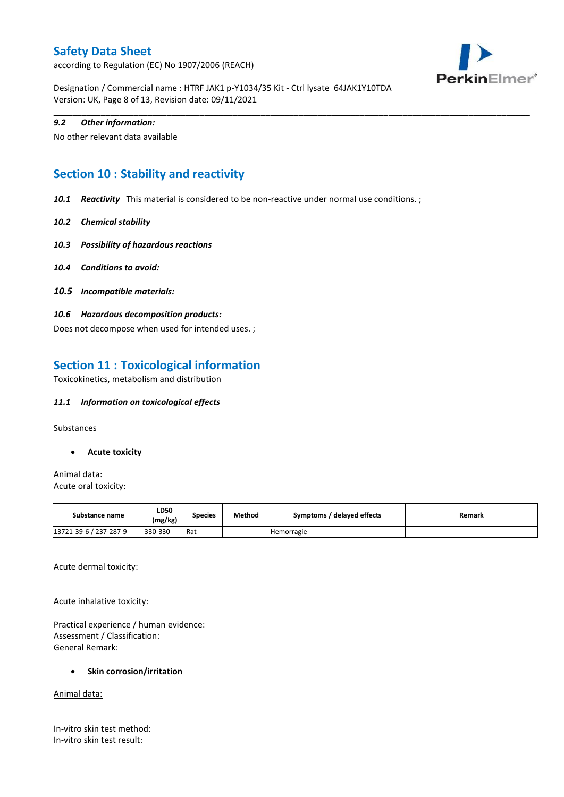according to Regulation (EC) No 1907/2006 (REACH)



Designation / Commercial name : HTRF JAK1 p-Y1034/35 Kit - Ctrl lysate 64JAK1Y10TDA Version: UK, Page 8 of 13, Revision date: 09/11/2021

### *9.2 Other information:*

No other relevant data available

## **Section 10 : Stability and reactivity**

*10.1 Reactivity* This material is considered to be non-reactive under normal use conditions. ;

\_\_\_\_\_\_\_\_\_\_\_\_\_\_\_\_\_\_\_\_\_\_\_\_\_\_\_\_\_\_\_\_\_\_\_\_\_\_\_\_\_\_\_\_\_\_\_\_\_\_\_\_\_\_\_\_\_\_\_\_\_\_\_\_\_\_\_\_\_\_\_\_\_\_\_\_\_\_\_\_\_\_\_\_\_\_\_\_\_\_\_\_\_\_\_\_\_\_\_\_\_

- *10.2 Chemical stability*
- *10.3 Possibility of hazardous reactions*
- *10.4 Conditions to avoid:*
- *10.5 Incompatible materials:*
- *10.6 Hazardous decomposition products:*

Does not decompose when used for intended uses. ;

## **Section 11 : Toxicological information**

Toxicokinetics, metabolism and distribution

### *11.1 Information on toxicological effects*

**Substances** 

**Acute toxicity**

Animal data: Acute oral toxicity:

| Substance name         | <b>LD50</b><br>(mg/kg) | <b>Species</b> | Method | Symptoms / delayed effects | Remark |
|------------------------|------------------------|----------------|--------|----------------------------|--------|
| 13721-39-6 / 237-287-9 | 330-330                | Rat            |        | Hemorragie                 |        |

Acute dermal toxicity:

Acute inhalative toxicity:

Practical experience / human evidence: Assessment / Classification: General Remark:

### **Skin corrosion/irritation**

Animal data:

In-vitro skin test method: In-vitro skin test result: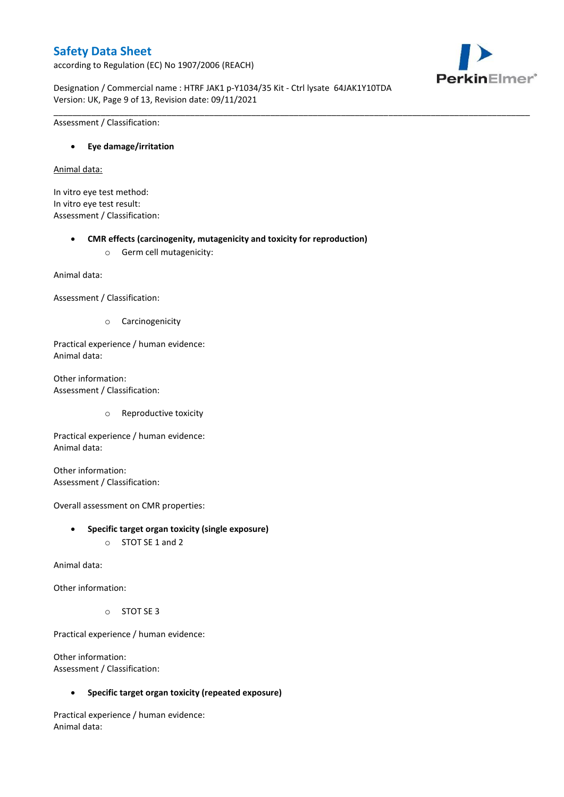according to Regulation (EC) No 1907/2006 (REACH)



Designation / Commercial name : HTRF JAK1 p-Y1034/35 Kit - Ctrl lysate 64JAK1Y10TDA Version: UK, Page 9 of 13, Revision date: 09/11/2021

\_\_\_\_\_\_\_\_\_\_\_\_\_\_\_\_\_\_\_\_\_\_\_\_\_\_\_\_\_\_\_\_\_\_\_\_\_\_\_\_\_\_\_\_\_\_\_\_\_\_\_\_\_\_\_\_\_\_\_\_\_\_\_\_\_\_\_\_\_\_\_\_\_\_\_\_\_\_\_\_\_\_\_\_\_\_\_\_\_\_\_\_\_\_\_\_\_\_\_\_\_

Assessment / Classification:

### **Eye damage/irritation**

Animal data:

In vitro eye test method: In vitro eye test result: Assessment / Classification:

### **CMR effects (carcinogenity, mutagenicity and toxicity for reproduction)**

o Germ cell mutagenicity:

Animal data:

Assessment / Classification:

o Carcinogenicity

Practical experience / human evidence: Animal data:

Other information: Assessment / Classification:

o Reproductive toxicity

Practical experience / human evidence: Animal data:

Other information: Assessment / Classification:

Overall assessment on CMR properties:

- **Specific target organ toxicity (single exposure)**
	- o STOT SE 1 and 2

Animal data:

Other information:

o STOT SE 3

Practical experience / human evidence:

Other information: Assessment / Classification:

**Specific target organ toxicity (repeated exposure)**

Practical experience / human evidence: Animal data: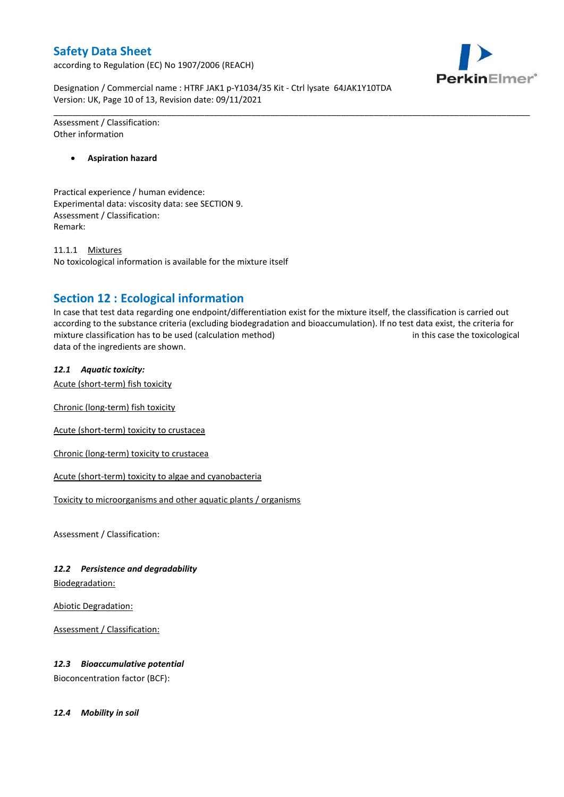according to Regulation (EC) No 1907/2006 (REACH)



Designation / Commercial name : HTRF JAK1 p-Y1034/35 Kit - Ctrl lysate 64JAK1Y10TDA Version: UK, Page 10 of 13, Revision date: 09/11/2021

Assessment / Classification: Other information

**Aspiration hazard**

Practical experience / human evidence: Experimental data: viscosity data: see SECTION 9. Assessment / Classification: Remark:

11.1.1 Mixtures No toxicological information is available for the mixture itself

## **Section 12 : Ecological information**

In case that test data regarding one endpoint/differentiation exist for the mixture itself, the classification is carried out according to the substance criteria (excluding biodegradation and bioaccumulation). If no test data exist, the criteria for mixture classification has to be used (calculation method) in this case the toxicological data of the ingredients are shown.

\_\_\_\_\_\_\_\_\_\_\_\_\_\_\_\_\_\_\_\_\_\_\_\_\_\_\_\_\_\_\_\_\_\_\_\_\_\_\_\_\_\_\_\_\_\_\_\_\_\_\_\_\_\_\_\_\_\_\_\_\_\_\_\_\_\_\_\_\_\_\_\_\_\_\_\_\_\_\_\_\_\_\_\_\_\_\_\_\_\_\_\_\_\_\_\_\_\_\_\_\_

### *12.1 Aquatic toxicity:*

Acute (short-term) fish toxicity

Chronic (long-term) fish toxicity

Acute (short-term) toxicity to crustacea

Chronic (long-term) toxicity to crustacea

Acute (short-term) toxicity to algae and cyanobacteria

Toxicity to microorganisms and other aquatic plants / organisms

Assessment / Classification:

### *12.2 Persistence and degradability*

Biodegradation:

Abiotic Degradation:

Assessment / Classification:

### *12.3 Bioaccumulative potential*

Bioconcentration factor (BCF):

*12.4 Mobility in soil*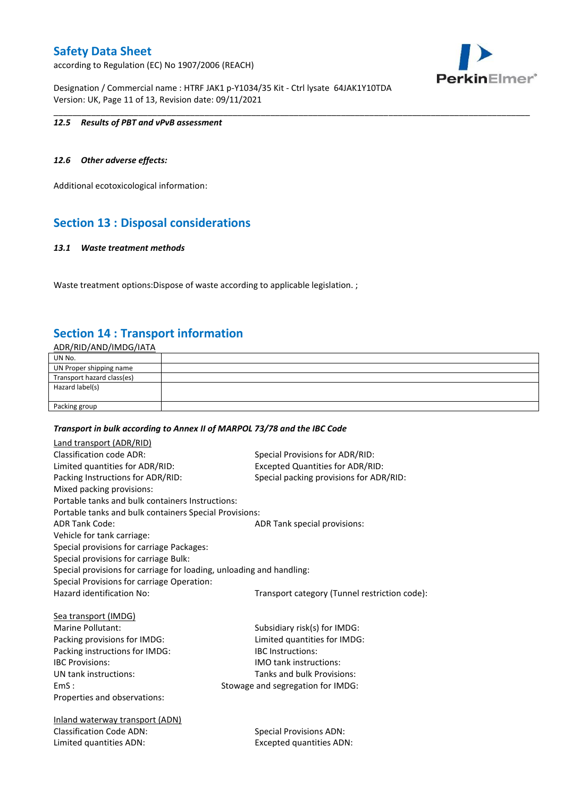according to Regulation (EC) No 1907/2006 (REACH)



Designation / Commercial name : HTRF JAK1 p-Y1034/35 Kit - Ctrl lysate 64JAK1Y10TDA Version: UK, Page 11 of 13, Revision date: 09/11/2021

### *12.5 Results of PBT and vPvB assessment*

### *12.6 Other adverse effects:*

Additional ecotoxicological information:

## **Section 13 : Disposal considerations**

#### *13.1 Waste treatment methods*

Waste treatment options: Dispose of waste according to applicable legislation. ;

## **Section 14 : Transport information**

ADR/RID/AND/IMDG/IATA

| UN No.                     |  |
|----------------------------|--|
| UN Proper shipping name    |  |
| Transport hazard class(es) |  |
| Hazard label(s)            |  |
|                            |  |
| Packing group              |  |

\_\_\_\_\_\_\_\_\_\_\_\_\_\_\_\_\_\_\_\_\_\_\_\_\_\_\_\_\_\_\_\_\_\_\_\_\_\_\_\_\_\_\_\_\_\_\_\_\_\_\_\_\_\_\_\_\_\_\_\_\_\_\_\_\_\_\_\_\_\_\_\_\_\_\_\_\_\_\_\_\_\_\_\_\_\_\_\_\_\_\_\_\_\_\_\_\_\_\_\_\_

#### *Transport in bulk according to Annex II of MARPOL 73/78 and the IBC Code*

| Land transport (ADR/RID)                                             |                                               |
|----------------------------------------------------------------------|-----------------------------------------------|
| Classification code ADR:                                             | Special Provisions for ADR/RID:               |
| Limited quantities for ADR/RID:                                      | Excepted Quantities for ADR/RID:              |
| Packing Instructions for ADR/RID:                                    | Special packing provisions for ADR/RID:       |
| Mixed packing provisions:                                            |                                               |
| Portable tanks and bulk containers Instructions:                     |                                               |
| Portable tanks and bulk containers Special Provisions:               |                                               |
| <b>ADR Tank Code:</b>                                                | ADR Tank special provisions:                  |
| Vehicle for tank carriage:                                           |                                               |
| Special provisions for carriage Packages:                            |                                               |
| Special provisions for carriage Bulk:                                |                                               |
| Special provisions for carriage for loading, unloading and handling: |                                               |
| Special Provisions for carriage Operation:                           |                                               |
| Hazard identification No:                                            | Transport category (Tunnel restriction code): |
|                                                                      |                                               |
| Sea transport (IMDG)                                                 |                                               |
| <b>Marine Pollutant:</b>                                             | Subsidiary risk(s) for IMDG:                  |
| Packing provisions for IMDG:                                         | Limited quantities for IMDG:                  |
| Packing instructions for IMDG:                                       | <b>IBC</b> Instructions:                      |
| <b>IBC Provisions:</b>                                               | <b>IMO</b> tank instructions:                 |
| UN tank instructions:                                                | Tanks and bulk Provisions:                    |
| EmS:                                                                 | Stowage and segregation for IMDG:             |
| Properties and observations:                                         |                                               |
| Inland waterway transport (ADN)                                      |                                               |
| <b>Classification Code ADN:</b>                                      | <b>Special Provisions ADN:</b>                |
| Limited quantities ADN:                                              | <b>Excepted quantities ADN:</b>               |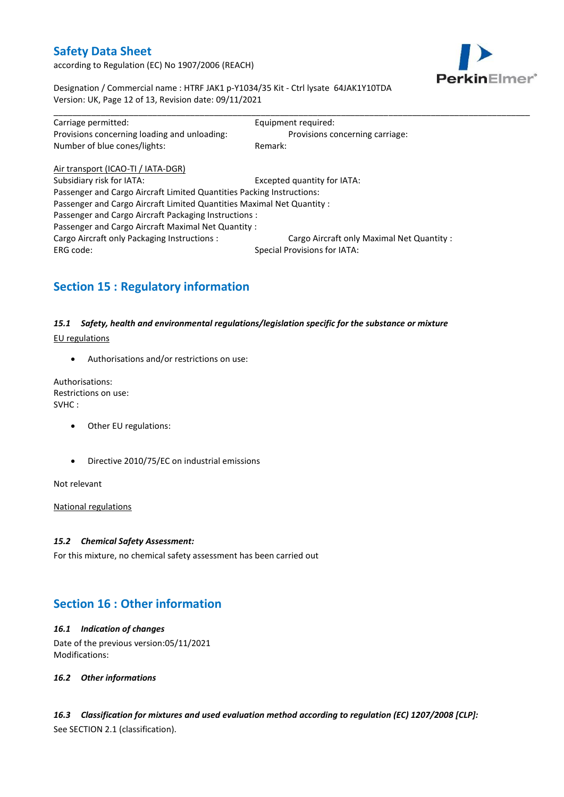according to Regulation (EC) No 1907/2006 (REACH)



Designation / Commercial name : HTRF JAK1 p-Y1034/35 Kit - Ctrl lysate 64JAK1Y10TDA Version: UK, Page 12 of 13, Revision date: 09/11/2021

| Carriage permitted:                                                    | Equipment required:                       |
|------------------------------------------------------------------------|-------------------------------------------|
| Provisions concerning loading and unloading:                           | Provisions concerning carriage:           |
| Number of blue cones/lights:                                           | Remark:                                   |
| Air transport (ICAO-TI / IATA-DGR)                                     |                                           |
| Subsidiary risk for IATA:                                              | Excepted quantity for IATA:               |
| Passenger and Cargo Aircraft Limited Quantities Packing Instructions:  |                                           |
| Passenger and Cargo Aircraft Limited Quantities Maximal Net Quantity : |                                           |
| Passenger and Cargo Aircraft Packaging Instructions :                  |                                           |
| Passenger and Cargo Aircraft Maximal Net Quantity:                     |                                           |
| Cargo Aircraft only Packaging Instructions :                           | Cargo Aircraft only Maximal Net Quantity: |
| ERG code:                                                              | <b>Special Provisions for IATA:</b>       |

## **Section 15 : Regulatory information**

## *15.1 Safety, health and environmental regulations/legislation specific for the substance or mixture*

EU regulations

Authorisations and/or restrictions on use:

Authorisations: Restrictions on use: SVHC :

- Other EU regulations:
- Directive 2010/75/EC on industrial emissions

Not relevant

National regulations

#### *15.2 Chemical Safety Assessment:*

For this mixture, no chemical safety assessment has been carried out

## **Section 16 : Other information**

### *16.1 Indication of changes* Date of the previous version:05/11/2021 Modifications:

*16.2 Other informations*

*16.3 Classification for mixtures and used evaluation method according to regulation (EC) 1207/2008 [CLP]:* See SECTION 2.1 (classification).